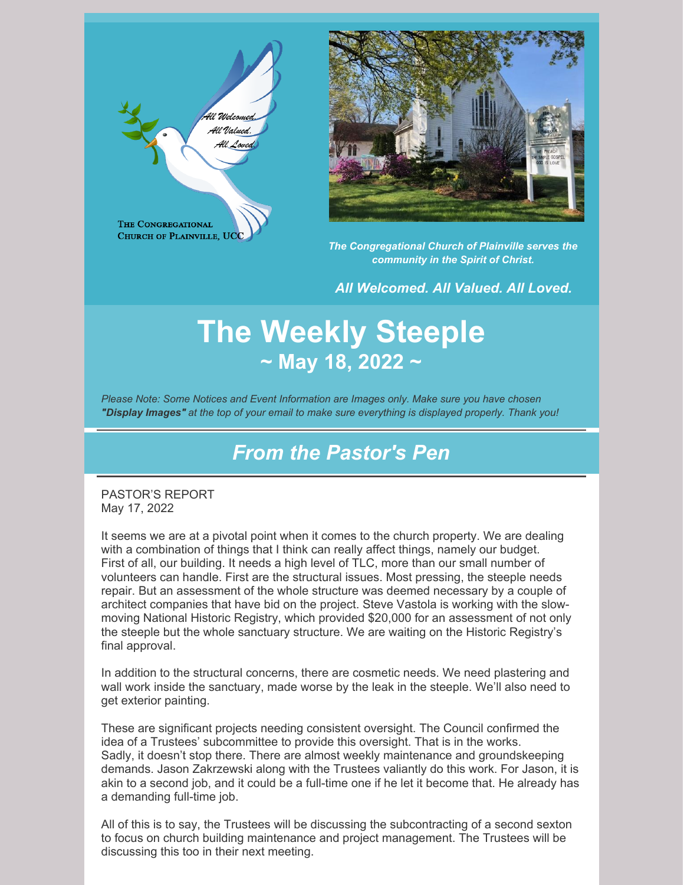



*The Congregational Church of Plainville serves the community in the Spirit of Christ.*

*All Welcomed. All Valued. All Loved.*

# **The Weekly Steeple ~ May 18, 2022 ~**

*Please Note: Some Notices and Event Information are Images only. Make sure you have chosen "Display Images" at the top of your email to make sure everything is displayed properly. Thank you!*

## *From the Pastor's Pen*

PASTOR'S REPORT May 17, 2022

It seems we are at a pivotal point when it comes to the church property. We are dealing with a combination of things that I think can really affect things, namely our budget. First of all, our building. It needs a high level of TLC, more than our small number of volunteers can handle. First are the structural issues. Most pressing, the steeple needs repair. But an assessment of the whole structure was deemed necessary by a couple of architect companies that have bid on the project. Steve Vastola is working with the slowmoving National Historic Registry, which provided \$20,000 for an assessment of not only the steeple but the whole sanctuary structure. We are waiting on the Historic Registry's final approval.

In addition to the structural concerns, there are cosmetic needs. We need plastering and wall work inside the sanctuary, made worse by the leak in the steeple. We'll also need to get exterior painting.

These are significant projects needing consistent oversight. The Council confirmed the idea of a Trustees' subcommittee to provide this oversight. That is in the works. Sadly, it doesn't stop there. There are almost weekly maintenance and groundskeeping demands. Jason Zakrzewski along with the Trustees valiantly do this work. For Jason, it is akin to a second job, and it could be a full-time one if he let it become that. He already has a demanding full-time job.

All of this is to say, the Trustees will be discussing the subcontracting of a second sexton to focus on church building maintenance and project management. The Trustees will be discussing this too in their next meeting.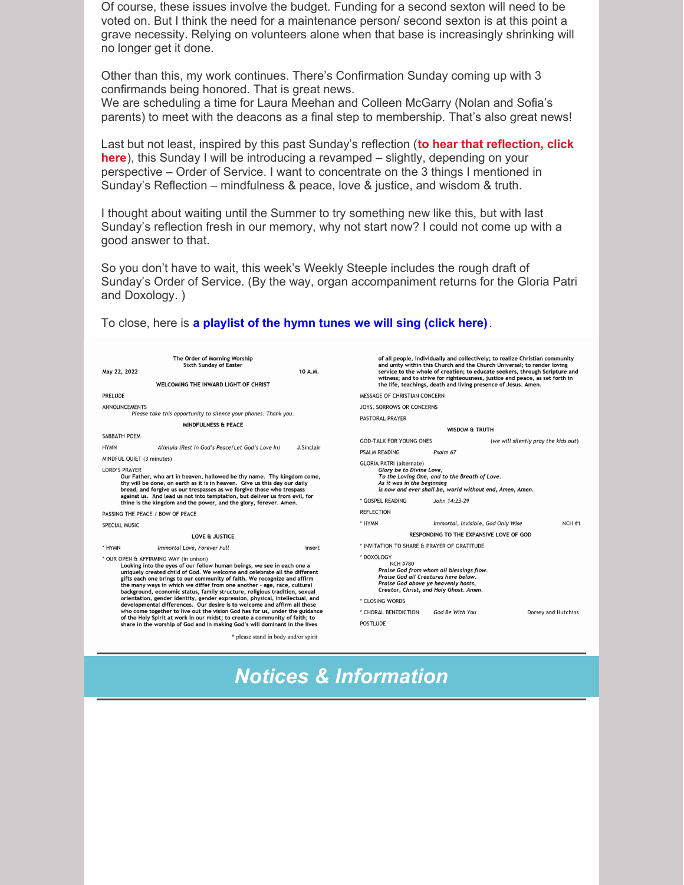Of course, these issues involve the budget. Funding for a second sexton will need to be voted on. But I think the need for a maintenance person/ second sexton is at this point a grave necessity. Relying on volunteers alone when that base is increasingly shrinking will no longer get it done.

Other than this, my work continues. There's Confirmation Sunday coming up with 3 confirmands being honored. That is great news. We are scheduling a time for Laura Meehan and Colleen McGarry (Nolan and Sofia's parents) to meet with the deacons as a final step to membership. That's also great news!

Last but not least, inspired by this past Sunday's reflection (**to hear that reflection, click here**), this Sunday I will be [introducing](https://www.youtube.com/watch?v=bbn6o-Ezvec) a revamped – slightly, depending on your perspective – Order of Service. I want to concentrate on the 3 things I mentioned in Sunday's Reflection – mindfulness & peace, love & justice, and wisdom & truth.

I thought about waiting until the Summer to try something new like this, but with last Sunday's reflection fresh in our memory, why not start now? I could not come up with a good answer to that.

So you don't have to wait, this week's Weekly Steeple includes the rough draft of Sunday's Order of Service. (By the way, organ accompaniment returns for the Gloria Patri and Doxology. )

#### To close, here is **a [playlist](https://www.youtube.com/playlist?list=PLpXOom4fSCbpd3Bm19_lMGVs8In56NFft) of the hymn tunes we will sing (click here)**.



*Notices & Information*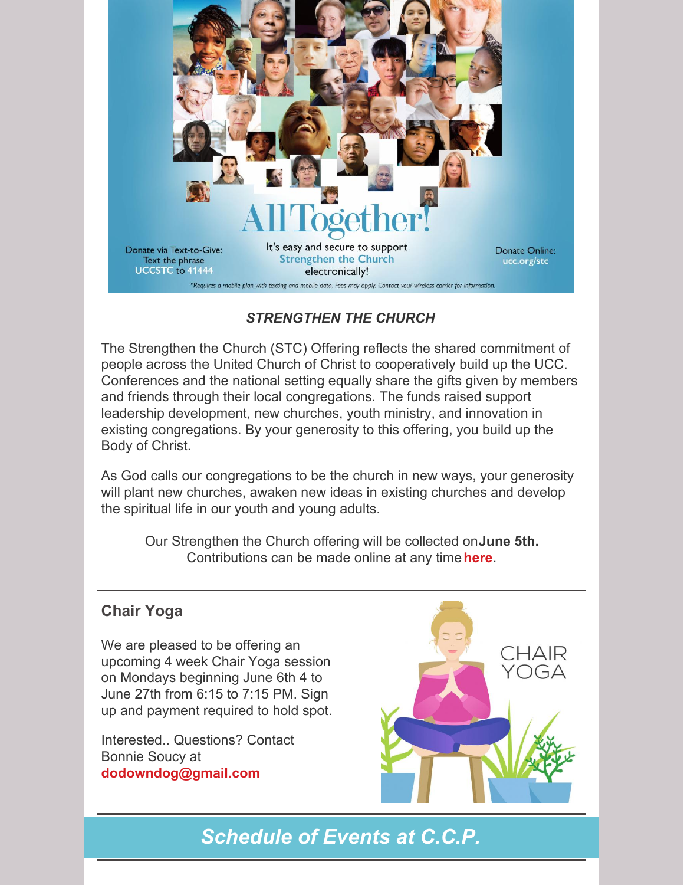

#### *STRENGTHEN THE CHURCH*

The Strengthen the Church (STC) Offering reflects the shared commitment of people across the United Church of Christ to cooperatively build up the UCC. Conferences and the national setting equally share the gifts given by members and friends through their local congregations. The funds raised support leadership development, new churches, youth ministry, and innovation in existing congregations. By your generosity to this offering, you build up the Body of Christ.

As God calls our congregations to be the church in new ways, your generosity will plant new churches, awaken new ideas in existing churches and develop the spiritual life in our youth and young adults.

Our Strengthen the Church offering will be collected on**June 5th.** Contributions can be made online at any time**[here](https://www.ucc.org/giving/ways-to-give/our-churchs-wider-mission/strengthen-the-church/strengthen-the-church-give/)**.

#### **Chair Yoga**

We are pleased to be offering an upcoming 4 week Chair Yoga session on Mondays beginning June 6th 4 to June 27th from 6:15 to 7:15 PM. Sign up and payment required to hold spot.

Interested.. Questions? Contact Bonnie Soucy at **[dodowndog@gmail.com](mailto:dodowndog@gmail.com)**



*Schedule of Events at C.C.P.*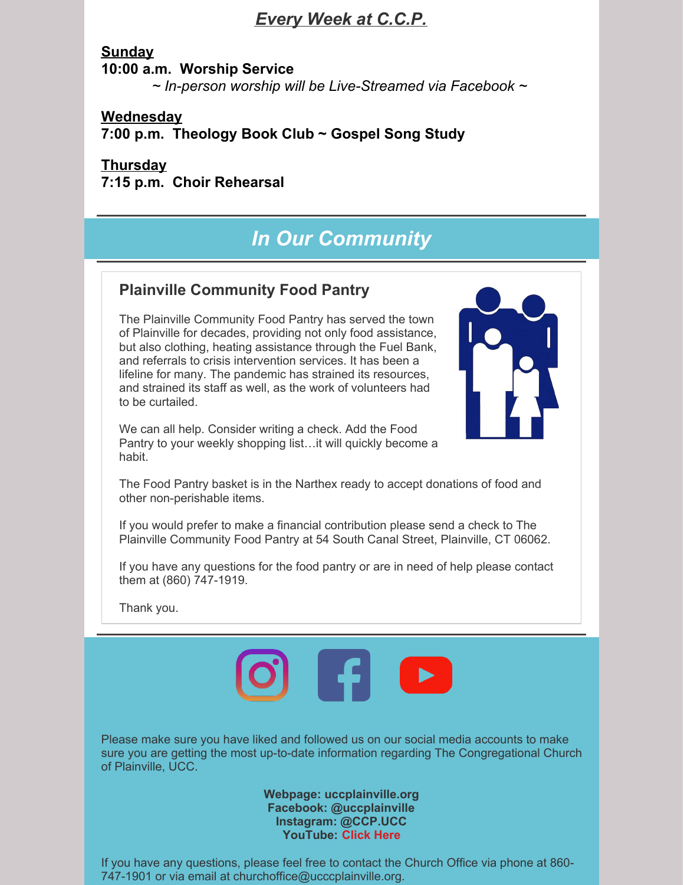### *Every Week at C.C.P.*

**Sunday 10:00 a.m. Worship Service** *~ In-person worship will be Live-Streamed via Facebook ~*

**Wednesday 7:00 p.m. Theology Book Club ~ Gospel Song Study**

#### **Thursday 7:15 p.m. Choir Rehearsal**

## *In Our Community*

#### **Plainville Community Food Pantry**

The Plainville Community Food Pantry has served the town of Plainville for decades, providing not only food assistance, but also clothing, heating assistance through the Fuel Bank, and referrals to crisis intervention services. It has been a lifeline for many. The pandemic has strained its resources, and strained its staff as well, as the work of volunteers had to be curtailed.

We can all help. Consider writing a check. Add the Food Pantry to your weekly shopping list…it will quickly become a habit.



The Food Pantry basket is in the Narthex ready to accept donations of food and other non-perishable items.

If you would prefer to make a financial contribution please send a check to The Plainville Community Food Pantry at 54 South Canal Street, Plainville, CT 06062.

If you have any questions for the food pantry or are in need of help please contact them at (860) 747-1919.

Thank you.



Please make sure you have liked and followed us on our social media accounts to make sure you are getting the most up-to-date information regarding The Congregational Church of Plainville, UCC.

> **Webpage: uccplainville.org Facebook: @uccplainville Instagram: @CCP.UCC YouTube: [Click](https://www.youtube.com/channel/UC0pz1qlkwT28Sdre0TDVx8g) Here**

If you have any questions, please feel free to contact the Church Office via phone at 860- 747-1901 or via email at churchoffice@ucccplainville.org.